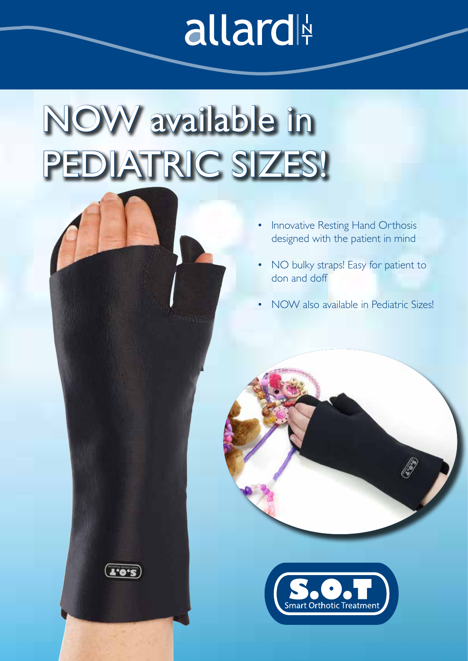## allard

## NOW available in PEDIATRIC SIZES!

 $1.0.2$ 

- Innovative Resting Hand Orthosis designed with the patient in mind
- NO bulky straps! Easy for patient to don and doff
- NOW also available in Pediatric Sizes!

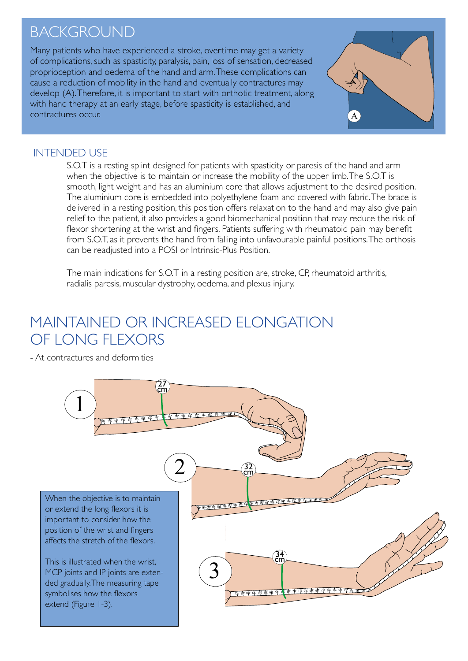### **BACKGROUND**

Many patients who have experienced a stroke, overtime may get a variety of complications, such as spasticity, paralysis, pain, loss of sensation, decreased proprioception and oedema of the hand and arm. These complications can cause a reduction of mobility in the hand and eventually contractures may develop (A). Therefore, it is important to start with orthotic treatment, along with hand therapy at an early stage, before spasticity is established, and contractures occur.



#### INTENDED USE

S.O.T is a resting splint designed for patients with spasticity or paresis of the hand and arm when the objective is to maintain or increase the mobility of the upper limb. The S.O.T is smooth, light weight and has an aluminium core that allows adjustment to the desired position. The aluminium core is embedded into polyethylene foam and covered with fabric. The brace is delivered in a resting position, this position offers relaxation to the hand and may also give pain relief to the patient, it also provides a good biomechanical position that may reduce the risk of flexor shortening at the wrist and fingers. Patients suffering with rheumatoid pain may benefit from S.O.T, as it prevents the hand from falling into unfavourable painful positions. The orthosis can be readjusted into a POSI or Intrinsic-Plus Position.

The main indications for S.O.T in a resting position are, stroke, CP, rheumatoid arthritis, radialis paresis, muscular dystrophy, oedema, and plexus injury.

### MAINTAINED OR INCREASED ELONGATION OF LONG FLEXORS

- At contractures and deformities

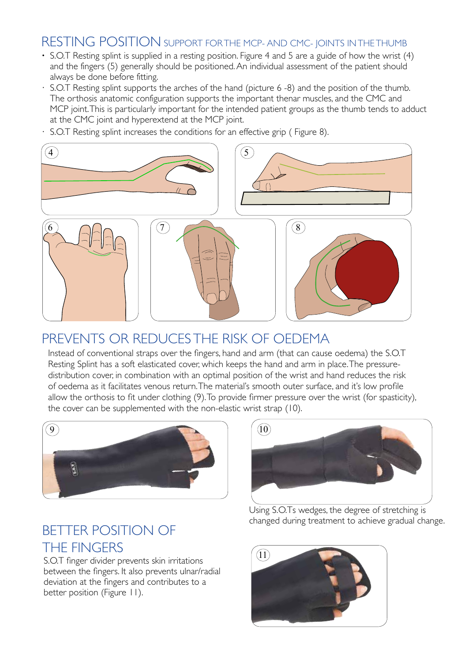#### RESTING POSITION SUPPORT FOR THE MCP- AND CMC- JOINTS IN THE THUMB

- **·** S.O.T Resting splint is supplied in a resting position. Figure 4 and 5 are a guide of how the wrist (4) and the fingers (5) generally should be positioned. An individual assessment of the patient should always be done before fitting.
- S.O.T Resting splint supports the arches of the hand (picture 6 -8) and the position of the thumb. The orthosis anatomic configuration supports the important thenar muscles, and the CMC and MCP joint. This is particularly important for the intended patient groups as the thumb tends to adduct at the CMC joint and hyperextend at the MCP joint.
- · S.O.T Resting splint increases the conditions for an effective grip ( Figure 8).



#### PREVENTS OR REDUCES THE RISK OF OEDEMA

Instead of conventional straps over the fingers, hand and arm (that can cause oedema) the S.O.T Resting Splint has a soft elasticated cover, which keeps the hand and arm in place. The pressuredistribution cover, in combination with an optimal position of the wrist and hand reduces the risk of oedema as it facilitates venous return. The material's smooth outer surface, and it's low profile allow the orthosis to fit under clothing (9). To provide firmer pressure over the wrist (for spasticity), the cover can be supplemented with the non-elastic wrist strap (10).



### BETTER POSITION OF THE FINGERS

S.O.T finger divider prevents skin irritations between the fingers. It also prevents ulnar/radial deviation at the fingers and contributes to a better position (Figure 11).



Using S.O.Ts wedges, the degree of stretching is changed during treatment to achieve gradual change.